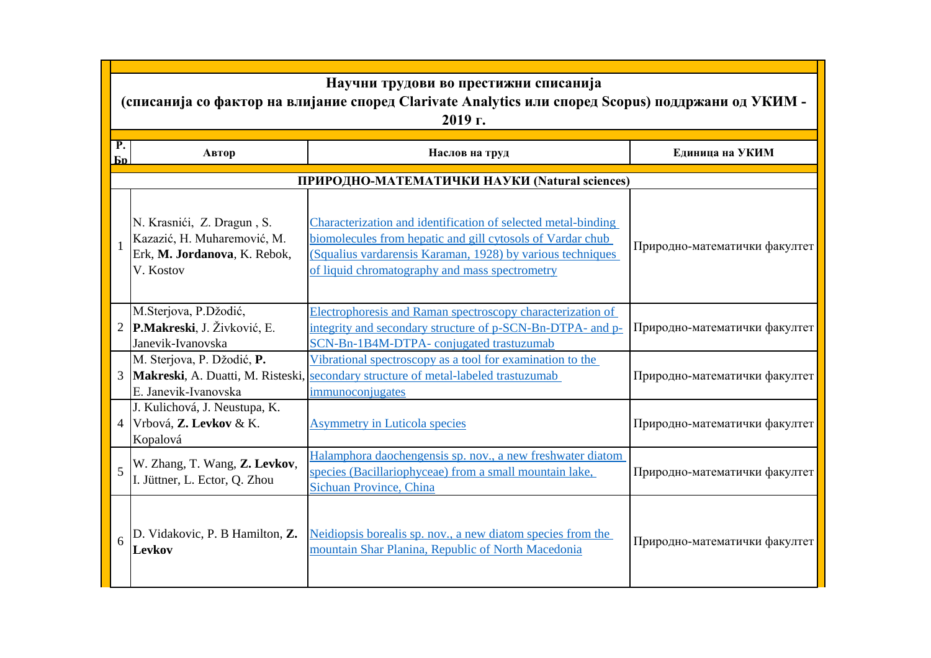|          | Научни трудови во престижни списанија<br>(списанија со фактор на влијание според Clarivate Analytics или според Scopus) поддржани од УКИМ -<br>2019 г. |                                                                                                                                                                                                                                             |                               |  |
|----------|--------------------------------------------------------------------------------------------------------------------------------------------------------|---------------------------------------------------------------------------------------------------------------------------------------------------------------------------------------------------------------------------------------------|-------------------------------|--|
| P.<br>Бn | Автор                                                                                                                                                  | Наслов на труд                                                                                                                                                                                                                              | Единица на УКИМ               |  |
|          |                                                                                                                                                        | ПРИРОДНО-МАТЕМАТИЧКИ НАУКИ (Natural sciences)                                                                                                                                                                                               |                               |  |
|          | N. Krasnići, Z. Dragun, S.<br>Kazazić, H. Muharemović, M.<br>Erk, M. Jordanova, K. Rebok,<br>V. Kostov                                                 | Characterization and identification of selected metal-binding<br>biomolecules from hepatic and gill cytosols of Vardar chub<br>(Squalius vardarensis Karaman, 1928) by various techniques<br>of liquid chromatography and mass spectrometry | Природно-математички факултет |  |
|          | M.Sterjova, P.Džodić,<br>2 P.Makreski, J. Živković, E.<br>Janevik-Ivanovska                                                                            | Electrophoresis and Raman spectroscopy characterization of<br>integrity and secondary structure of p-SCN-Bn-DTPA- and p-<br>SCN-Bn-1B4M-DTPA- conjugated trastuzumab                                                                        | Природно-математички факултет |  |
| 3        | M. Sterjova, P. Džodić, P.<br>E. Janevik-Ivanovska                                                                                                     | Vibrational spectroscopy as a tool for examination to the<br>Makreski, A. Duatti, M. Risteski, secondary structure of metal-labeled trastuzumab<br>immunoconjugates                                                                         | Природно-математички факултет |  |
|          | J. Kulichová, J. Neustupa, K.<br>4 Vrbová, Z. Levkov & K.<br>Kopalová                                                                                  | <b>Asymmetry in Luticola species</b>                                                                                                                                                                                                        | Природно-математички факултет |  |
|          | W. Zhang, T. Wang, Z. Levkov,<br>I. Jüttner, L. Ector, Q. Zhou                                                                                         | Halamphora daochengensis sp. nov., a new freshwater diatom<br>species (Bacillariophyceae) from a small mountain lake,<br><b>Sichuan Province, China</b>                                                                                     | Природно-математички факултет |  |
|          | D. Vidakovic, P. B Hamilton, Z.<br>Levkov                                                                                                              | Neidiopsis borealis sp. nov., a new diatom species from the<br>mountain Shar Planina, Republic of North Macedonia                                                                                                                           | Природно-математички факултет |  |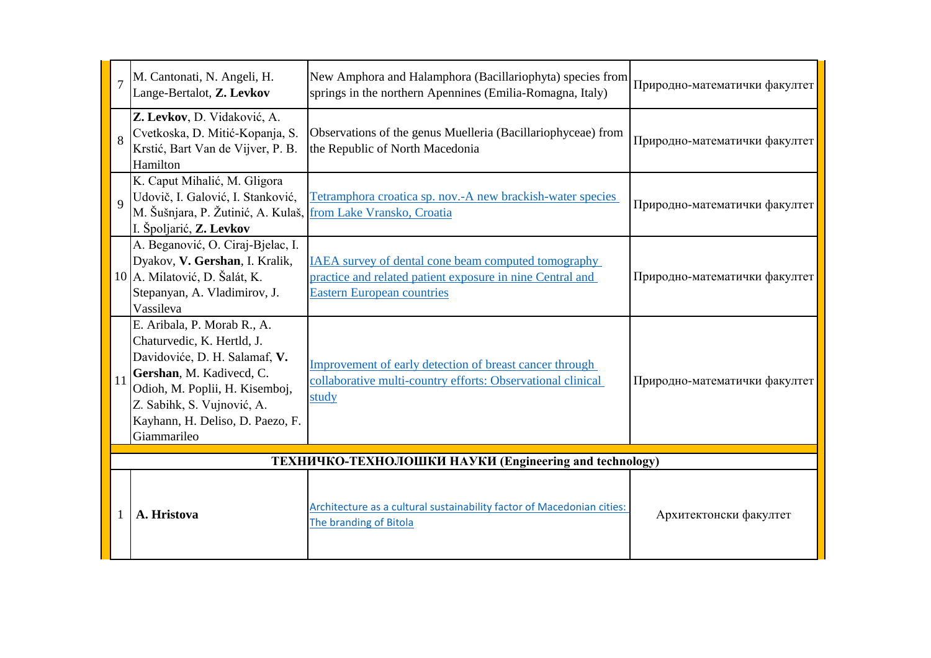| M. Cantonati, N. Angeli, H.<br>Lange-Bertalot, Z. Levkov                                                                                                                                                                                        | New Amphora and Halamphora (Bacillariophyta) species from<br>springs in the northern Apennines (Emilia-Romagna, Italy)                                | Природно-математички факултет |  |
|-------------------------------------------------------------------------------------------------------------------------------------------------------------------------------------------------------------------------------------------------|-------------------------------------------------------------------------------------------------------------------------------------------------------|-------------------------------|--|
| Z. Levkov, D. Vidaković, A.<br>Cvetkoska, D. Mitić-Kopanja, S.<br>8<br>Krstić, Bart Van de Vijver, P. B.<br>Hamilton                                                                                                                            | Observations of the genus Muelleria (Bacillariophyceae) from<br>the Republic of North Macedonia                                                       | Природно-математички факултет |  |
| K. Caput Mihalić, M. Gligora<br>Udovič, I. Galović, I. Stanković,<br>$\mathbf Q$<br>M. Šušnjara, P. Žutinić, A. Kulaš, from Lake Vransko, Croatia<br>I. Špoljarić, Z. Levkov                                                                    | Tetramphora croatica sp. nov.-A new brackish-water species                                                                                            | Природно-математички факултет |  |
| A. Beganović, O. Ciraj-Bjelac, I.<br>Dyakov, V. Gershan, I. Kralik,<br>10 A. Milatović, D. Šalát, K.<br>Stepanyan, A. Vladimirov, J.<br>Vassileva                                                                                               | IAEA survey of dental cone beam computed tomography<br>practice and related patient exposure in nine Central and<br><b>Eastern European countries</b> | Природно-математички факултет |  |
| E. Aribala, P. Morab R., A.<br>Chaturvedic, K. Hertld, J.<br>Davidoviće, D. H. Salamaf, V.<br>Gershan, M. Kadivecd, C.<br>11<br>Odioh, M. Poplii, H. Kisemboj,<br>Z. Sabihk, S. Vujnović, A.<br>Kayhann, H. Deliso, D. Paezo, F.<br>Giammarileo | Improvement of early detection of breast cancer through<br>collaborative multi-country efforts: Observational clinical<br>study                       | Природно-математички факултет |  |
|                                                                                                                                                                                                                                                 | <b>TEXHИЧКО-ТЕХНОЛОШКИ НАУКИ (Engineering and technology)</b>                                                                                         |                               |  |
| A. Hristova                                                                                                                                                                                                                                     | Architecture as a cultural sustainability factor of Macedonian cities:<br>The branding of Bitola                                                      | Архитектонски факултет        |  |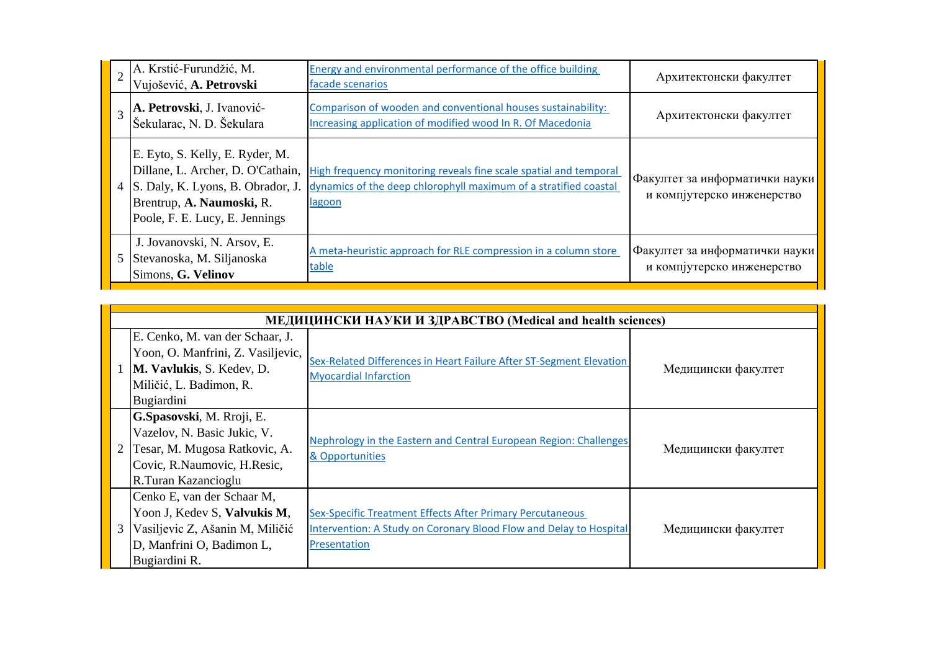|  | A. Krstić-Furundžić, M.<br>Vujošević, A. Petrovski                                                                                                                         | Energy and environmental performance of the office building<br>facade scenarios                                                                 | Архитектонски факултет                                       |
|--|----------------------------------------------------------------------------------------------------------------------------------------------------------------------------|-------------------------------------------------------------------------------------------------------------------------------------------------|--------------------------------------------------------------|
|  | A. Petrovski, J. Ivanović-<br>Šekularac, N. D. Šekulara                                                                                                                    | Comparison of wooden and conventional houses sustainability:<br>Increasing application of modified wood In R. Of Macedonia                      | Архитектонски факултет                                       |
|  | E. Eyto, S. Kelly, E. Ryder, M.<br>Dillane, L. Archer, D. O'Cathain,<br>4 S. Daly, K. Lyons, B. Obrador, J.<br>Brentrup, A. Naumoski, R.<br>Poole, F. E. Lucy, E. Jennings | High frequency monitoring reveals fine scale spatial and temporal<br>dynamics of the deep chlorophyll maximum of a stratified coastal<br>lagoon | Факултет за информатички науки<br>и компјутерско инженерство |
|  | J. Jovanovski, N. Arsov, E.<br>5 Stevanoska, M. Siljanoska<br>Simons, G. Velinov                                                                                           | A meta-heuristic approach for RLE compression in a column store<br>table                                                                        | Факултет за информатички науки<br>и компјутерско инженерство |

| МЕДИЦИНСКИ НАУКИ И ЗДРАВСТВО (Medical and health sciences)                                                                                                    |                                                                                                                                                 |                     |  |
|---------------------------------------------------------------------------------------------------------------------------------------------------------------|-------------------------------------------------------------------------------------------------------------------------------------------------|---------------------|--|
| E. Cenko, M. van der Schaar, J.<br>Yoon, O. Manfrini, Z. Vasiljevic,<br>M. Vavlukis, S. Kedev, D.<br>Miličić, L. Badimon, R.<br>Bugiardini                    | Sex-Related Differences in Heart Failure After ST-Segment Elevation<br><b>Myocardial Infarction</b>                                             | Медицински факултет |  |
| G.Spasovski, M. Rroji, E.<br>Vazelov, N. Basic Jukic, V.<br>Tesar, M. Mugosa Ratkovic, A.<br>Covic, R.Naumovic, H.Resic,<br>R.Turan Kazancioglu               | Nephrology in the Eastern and Central European Region: Challenges<br>& Opportunities                                                            | Медицински факултет |  |
| Cenko E, van der Schaar M,<br>Yoon J, Kedev S, Valvukis M,<br>$\mathfrak{Z}$<br>Vasiljevic Z, Ašanin M, Miličić<br>D, Manfrini O, Badimon L,<br>Bugiardini R. | Sex-Specific Treatment Effects After Primary Percutaneous<br>Intervention: A Study on Coronary Blood Flow and Delay to Hospital<br>Presentation | Медицински факултет |  |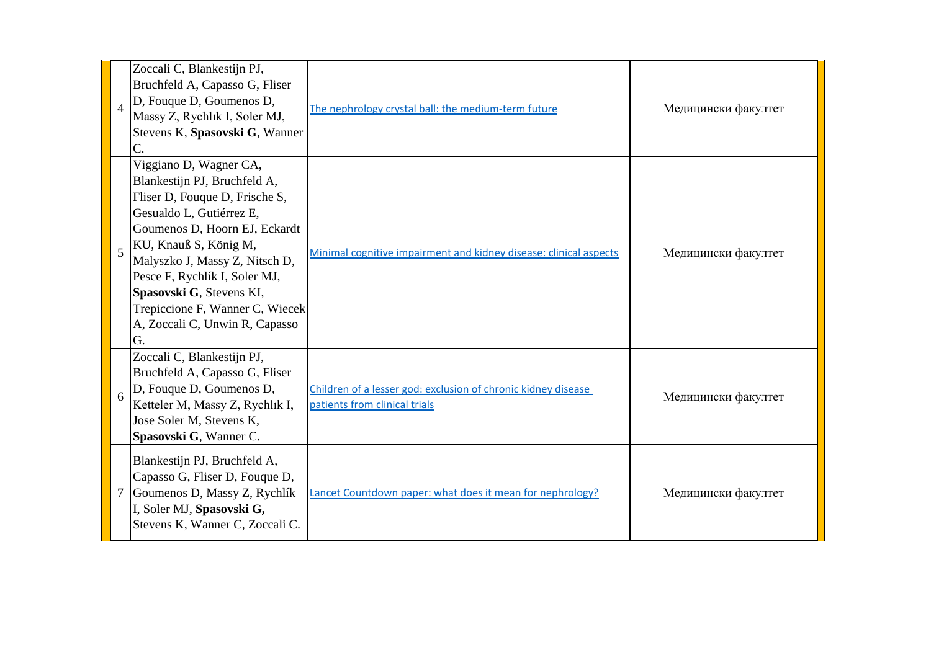| $\overline{4}$ | Zoccali C, Blankestijn PJ,<br>Bruchfeld A, Capasso G, Fliser<br>D, Fouque D, Goumenos D,<br>Massy Z, Rychlık I, Soler MJ,<br>Stevens K, Spasovski G, Wanner<br>$\mathcal{C}$ .                                                                                                                                                                           | The nephrology crystal ball: the medium-term future                                            | Медицински факултет |
|----------------|----------------------------------------------------------------------------------------------------------------------------------------------------------------------------------------------------------------------------------------------------------------------------------------------------------------------------------------------------------|------------------------------------------------------------------------------------------------|---------------------|
| 5              | Viggiano D, Wagner CA,<br>Blankestijn PJ, Bruchfeld A,<br>Fliser D, Fouque D, Frische S,<br>Gesualdo L, Gutiérrez E,<br>Goumenos D, Hoorn EJ, Eckardt<br>KU, Knauß S, König M,<br>Malyszko J, Massy Z, Nitsch D,<br>Pesce F, Rychlík I, Soler MJ,<br>Spasovski G, Stevens KI,<br>Trepiccione F, Wanner C, Wiecek<br>A, Zoccali C, Unwin R, Capasso<br>G. | Minimal cognitive impairment and kidney disease: clinical aspects                              | Медицински факултет |
| 6              | Zoccali C, Blankestijn PJ,<br>Bruchfeld A, Capasso G, Fliser<br>D, Fouque D, Goumenos D,<br>Ketteler M, Massy Z, Rychlık I,<br>Jose Soler M, Stevens K,<br>Spasovski G, Wanner C.                                                                                                                                                                        | Children of a lesser god: exclusion of chronic kidney disease<br>patients from clinical trials | Медицински факултет |
|                | Blankestijn PJ, Bruchfeld A,<br>Capasso G, Fliser D, Fouque D,<br>Goumenos D, Massy Z, Rychlík<br>I, Soler MJ, Spasovski G,<br>Stevens K, Wanner C, Zoccali C.                                                                                                                                                                                           | Lancet Countdown paper: what does it mean for nephrology?                                      | Медицински факултет |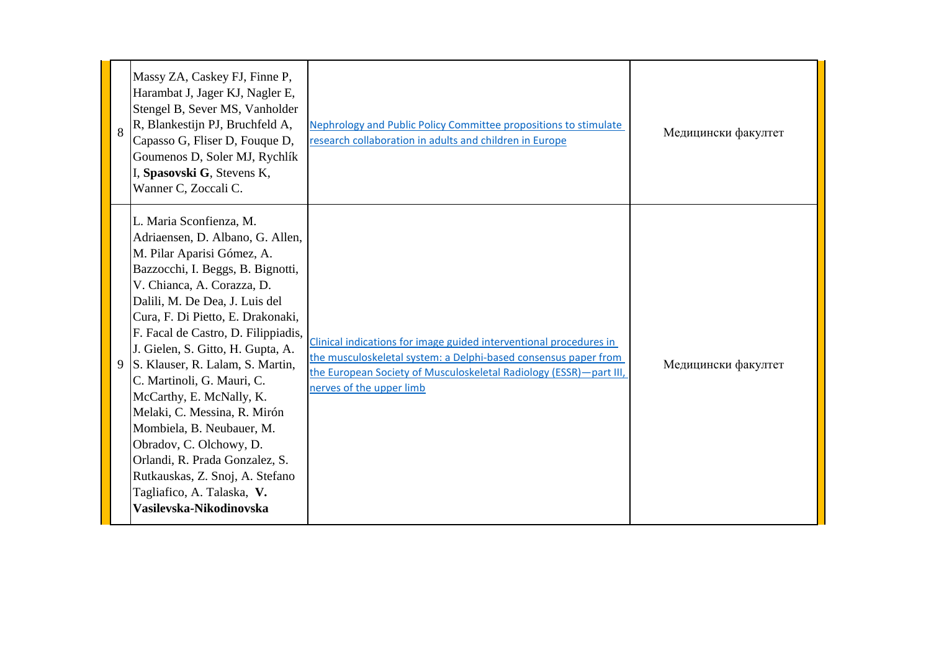| $\mathbf{8}$ | Massy ZA, Caskey FJ, Finne P,<br>Harambat J, Jager KJ, Nagler E,<br>Stengel B, Sever MS, Vanholder<br>R, Blankestijn PJ, Bruchfeld A,<br>Capasso G, Fliser D, Fouque D,<br>Goumenos D, Soler MJ, Rychlík<br>I, Spasovski G, Stevens K,<br>Wanner C, Zoccali C.                                                                                                                                                                                                                                                                                                                                                                      | Nephrology and Public Policy Committee propositions to stimulate<br>research collaboration in adults and children in Europe                                                                                                             | Медицински факултет |
|--------------|-------------------------------------------------------------------------------------------------------------------------------------------------------------------------------------------------------------------------------------------------------------------------------------------------------------------------------------------------------------------------------------------------------------------------------------------------------------------------------------------------------------------------------------------------------------------------------------------------------------------------------------|-----------------------------------------------------------------------------------------------------------------------------------------------------------------------------------------------------------------------------------------|---------------------|
| 9            | L. Maria Sconfienza, M.<br>Adriaensen, D. Albano, G. Allen,<br>M. Pilar Aparisi Gómez, A.<br>Bazzocchi, I. Beggs, B. Bignotti,<br>V. Chianca, A. Corazza, D.<br>Dalili, M. De Dea, J. Luis del<br>Cura, F. Di Pietto, E. Drakonaki,<br>F. Facal de Castro, D. Filippiadis,<br>J. Gielen, S. Gitto, H. Gupta, A.<br>S. Klauser, R. Lalam, S. Martin,<br>C. Martinoli, G. Mauri, C.<br>McCarthy, E. McNally, K.<br>Melaki, C. Messina, R. Mirón<br>Mombiela, B. Neubauer, M.<br>Obradov, C. Olchowy, D.<br>Orlandi, R. Prada Gonzalez, S.<br>Rutkauskas, Z. Snoj, A. Stefano<br>Tagliafico, A. Talaska, V.<br>Vasilevska-Nikodinovska | Clinical indications for image guided interventional procedures in<br>the musculoskeletal system: a Delphi-based consensus paper from<br>the European Society of Musculoskeletal Radiology (ESSR)-part III,<br>nerves of the upper limb | Медицински факултет |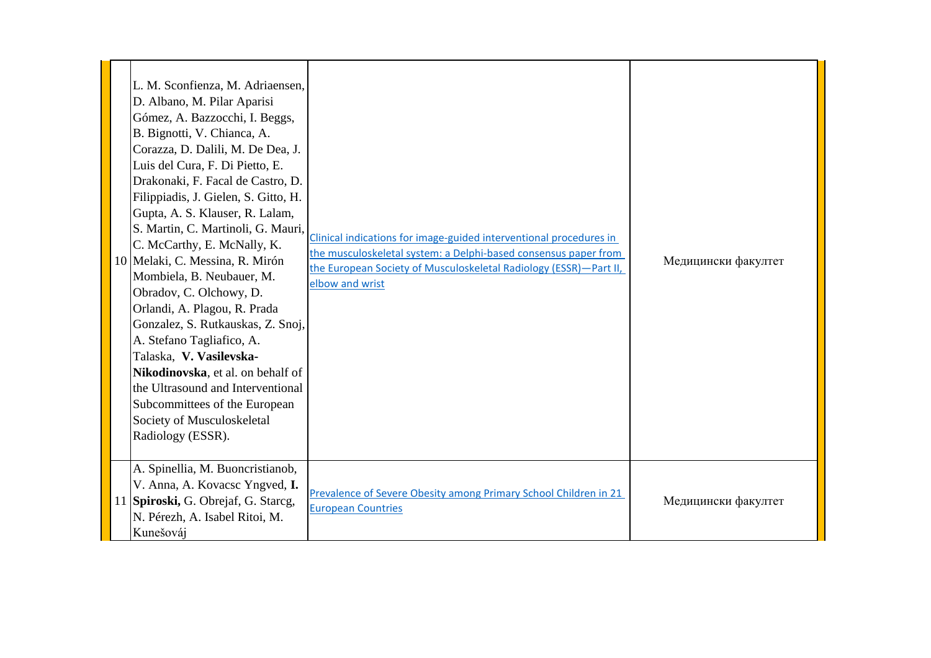| L. M. Sconfienza, M. Adriaensen,<br>D. Albano, M. Pilar Aparisi<br>Gómez, A. Bazzocchi, I. Beggs,<br>B. Bignotti, V. Chianca, A.<br>Corazza, D. Dalili, M. De Dea, J.<br>Luis del Cura, F. Di Pietto, E.<br>Drakonaki, F. Facal de Castro, D.<br>Filippiadis, J. Gielen, S. Gitto, H.<br>Gupta, A. S. Klauser, R. Lalam,<br>S. Martin, C. Martinoli, G. Mauri,<br>C. McCarthy, E. McNally, K.<br>10 Melaki, C. Messina, R. Mirón<br>Mombiela, B. Neubauer, M.<br>Obradov, C. Olchowy, D.<br>Orlandi, A. Plagou, R. Prada<br>Gonzalez, S. Rutkauskas, Z. Snoj,<br>A. Stefano Tagliafico, A.<br>Talaska, V. Vasilevska-<br>Nikodinovska, et al. on behalf of<br>the Ultrasound and Interventional<br>Subcommittees of the European<br>Society of Musculoskeletal<br>Radiology (ESSR). | Clinical indications for image-guided interventional procedures in<br>the musculoskeletal system: a Delphi-based consensus paper from<br>the European Society of Musculoskeletal Radiology (ESSR)-Part II,<br>elbow and wrist | Медицински факултет |
|-------------------------------------------------------------------------------------------------------------------------------------------------------------------------------------------------------------------------------------------------------------------------------------------------------------------------------------------------------------------------------------------------------------------------------------------------------------------------------------------------------------------------------------------------------------------------------------------------------------------------------------------------------------------------------------------------------------------------------------------------------------------------------------|-------------------------------------------------------------------------------------------------------------------------------------------------------------------------------------------------------------------------------|---------------------|
| A. Spinellia, M. Buoncristianob,<br>V. Anna, A. Kovacsc Yngved, I.<br>11 Spiroski, G. Obrejaf, G. Starcg,<br>N. Pérezh, A. Isabel Ritoi, M.<br>Kunešováj                                                                                                                                                                                                                                                                                                                                                                                                                                                                                                                                                                                                                            | Prevalence of Severe Obesity among Primary School Children in 21<br><b>European Countries</b>                                                                                                                                 | Медицински факултет |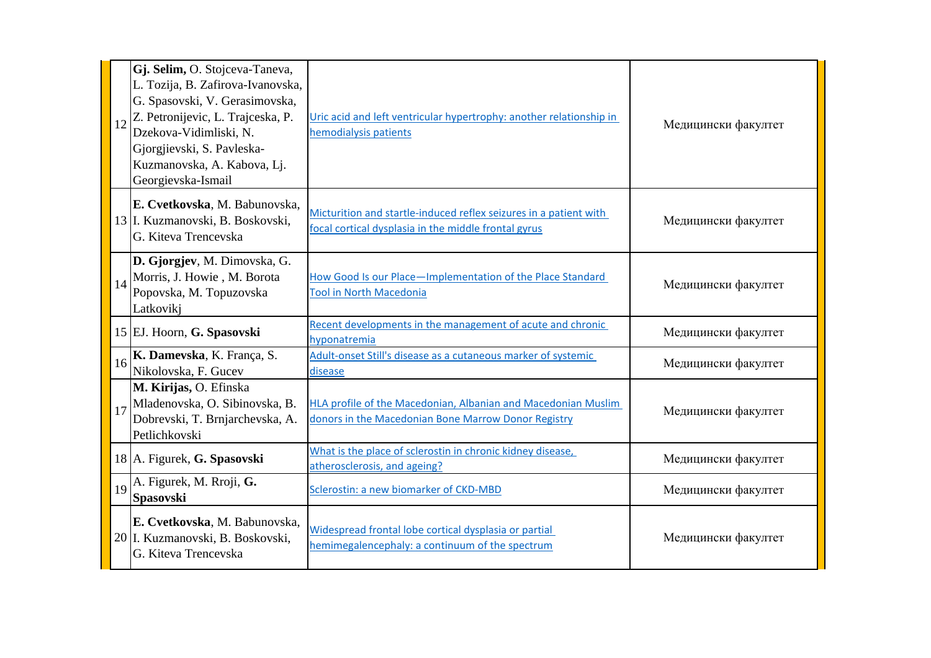| 12 | Gj. Selim, O. Stojceva-Taneva,<br>L. Tozija, B. Zafirova-Ivanovska,<br>G. Spasovski, V. Gerasimovska,<br>Z. Petronijevic, L. Trajceska, P.<br>Dzekova-Vidimliski, N.<br>Gjorgjievski, S. Pavleska-<br>Kuzmanovska, A. Kabova, Lj.<br>Georgievska-Ismail | Uric acid and left ventricular hypertrophy: another relationship in<br>hemodialysis patients                              | Медицински факултет |
|----|---------------------------------------------------------------------------------------------------------------------------------------------------------------------------------------------------------------------------------------------------------|---------------------------------------------------------------------------------------------------------------------------|---------------------|
|    | E. Cvetkovska, M. Babunovska,<br>13 I. Kuzmanovski, B. Boskovski,<br>G. Kiteva Trencevska                                                                                                                                                               | Micturition and startle-induced reflex seizures in a patient with<br>focal cortical dysplasia in the middle frontal gyrus | Медицински факултет |
| 14 | D. Gjorgjev, M. Dimovska, G.<br>Morris, J. Howie, M. Borota<br>Popovska, M. Topuzovska<br>Latkovikj                                                                                                                                                     | How Good Is our Place-Implementation of the Place Standard<br>Tool in North Macedonia                                     | Медицински факултет |
|    | 15 EJ. Hoorn, G. Spasovski                                                                                                                                                                                                                              | Recent developments in the management of acute and chronic<br>hyponatremia                                                | Медицински факултет |
| 16 | K. Damevska, K. França, S.<br>Nikolovska, F. Gucev                                                                                                                                                                                                      | Adult-onset Still's disease as a cutaneous marker of systemic<br>disease                                                  | Медицински факултет |
| 17 | M. Kirijas, O. Efinska<br>Mladenovska, O. Sibinovska, B.<br>Dobrevski, T. Brnjarchevska, A.<br>Petlichkovski                                                                                                                                            | HLA profile of the Macedonian, Albanian and Macedonian Muslim<br>donors in the Macedonian Bone Marrow Donor Registry      | Медицински факултет |
|    | 18 A. Figurek, G. Spasovski                                                                                                                                                                                                                             | What is the place of sclerostin in chronic kidney disease,<br>atherosclerosis, and ageing?                                | Медицински факултет |
| 19 | A. Figurek, M. Rroji, G.<br><b>Spasovski</b>                                                                                                                                                                                                            | Sclerostin: a new biomarker of CKD-MBD                                                                                    | Медицински факултет |
|    | E. Cvetkovska, M. Babunovska,<br>20 I. Kuzmanovski, B. Boskovski,<br>G. Kiteva Trencevska                                                                                                                                                               | Widespread frontal lobe cortical dysplasia or partial<br>hemimegalencephaly: a continuum of the spectrum                  | Медицински факултет |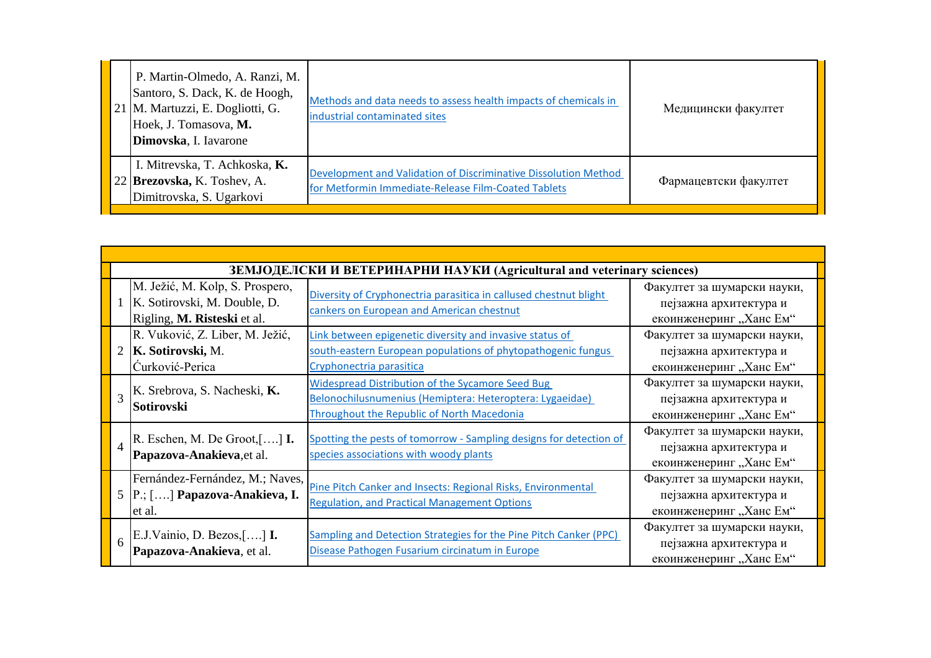| P. Martin-Olmedo, A. Ranzi, M.<br>Santoro, S. Dack, K. de Hoogh,<br>21 M. Martuzzi, E. Dogliotti, G.<br>Hoek, J. Tomasova, M.<br>Dimovska, I. Iavarone | Methods and data needs to assess health impacts of chemicals in<br>industrial contaminated sites                       | Медицински факултет   |
|--------------------------------------------------------------------------------------------------------------------------------------------------------|------------------------------------------------------------------------------------------------------------------------|-----------------------|
| I. Mitrevska, T. Achkoska, K.<br>22 Brezovska, K. Toshev, A.<br>Dimitrovska, S. Ugarkovi                                                               | Development and Validation of Discriminative Dissolution Method<br>for Metformin Immediate-Release Film-Coated Tablets | Фармацевтски факултет |

|                | ЗЕМЈОДЕЛСКИ И ВЕТЕРИНАРНИ НАУКИ (Agricultural and veterinary sciences)                             |                                                                                                                                                                   |                                                                                  |  |  |
|----------------|----------------------------------------------------------------------------------------------------|-------------------------------------------------------------------------------------------------------------------------------------------------------------------|----------------------------------------------------------------------------------|--|--|
|                | M. Ježić, M. Kolp, S. Prospero,<br>1   K. Sotirovski, M. Double, D.<br>Rigling, M. Risteski et al. | Diversity of Cryphonectria parasitica in callused chestnut blight<br>cankers on European and American chestnut                                                    | Факултет за шумарски науки,<br>пејзажна архитектура и<br>екоинженеринг "Ханс Ем" |  |  |
|                | R. Vuković, Z. Liber, M. Ježić,<br>2   K. Sotirovski, M.<br>Ćurković-Perica                        | Link between epigenetic diversity and invasive status of<br>south-eastern European populations of phytopathogenic fungus<br>Cryphonectria parasitica              | Факултет за шумарски науки,<br>пејзажна архитектура и<br>екоинженеринг "Ханс Ем" |  |  |
| $\overline{3}$ | K. Srebrova, S. Nacheski, K.<br><b>Sotirovski</b>                                                  | <b>Widespread Distribution of the Sycamore Seed Bug</b><br>Belonochilusnumenius (Hemiptera: Heteroptera: Lygaeidae)<br>Throughout the Republic of North Macedonia | Факултет за шумарски науки,<br>пејзажна архитектура и<br>екоинженеринг "Ханс Ем" |  |  |
| $\overline{4}$ | R. Eschen, M. De Groot,[] I.<br>Papazova-Anakieva, et al.                                          | Spotting the pests of tomorrow - Sampling designs for detection of<br>species associations with woody plants                                                      | Факултет за шумарски науки,<br>пејзажна архитектура и<br>екоинженеринг "Ханс Ем" |  |  |
|                | Fernández-Fernández, M.; Naves,<br>5 P.; [] Papazova-Anakieva, I.<br>et al.                        | Pine Pitch Canker and Insects: Regional Risks, Environmental<br><b>Regulation, and Practical Management Options</b>                                               | Факултет за шумарски науки,<br>пејзажна архитектура и<br>екоинженеринг "Ханс Ем" |  |  |
| 6              | E.J.Vainio, D. Bezos, [] I.<br>Papazova-Anakieva, et al.                                           | Sampling and Detection Strategies for the Pine Pitch Canker (PPC)<br>Disease Pathogen Fusarium circinatum in Europe                                               | Факултет за шумарски науки,<br>пејзажна архитектура и<br>екоинженеринг "Ханс Ем" |  |  |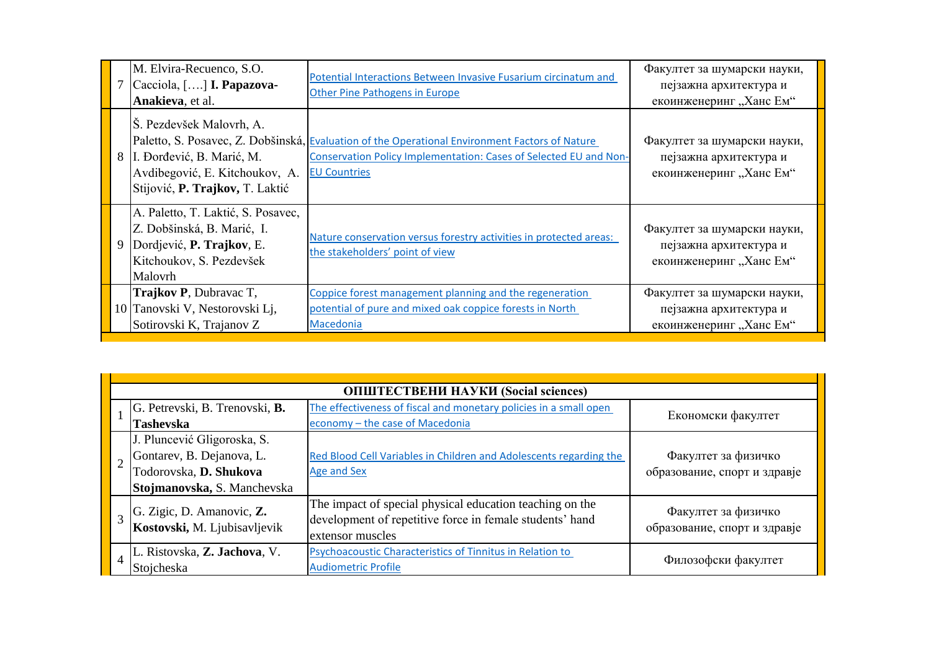|   | M. Elvira-Recuenco, S.O.<br>7 $\vert$ Cacciola, [] <b>I. Papazova-</b><br>Anakieva, et al.                                           | Potential Interactions Between Invasive Fusarium circinatum and<br><b>Other Pine Pathogens in Europe</b>                                                                                   | Факултет за шумарски науки,<br>пејзажна архитектура и<br>екоинженеринг "Ханс Ем" |
|---|--------------------------------------------------------------------------------------------------------------------------------------|--------------------------------------------------------------------------------------------------------------------------------------------------------------------------------------------|----------------------------------------------------------------------------------|
|   | Š. Pezdevšek Malovrh, A.<br>8 I. Đorđević, B. Marić, M.<br>Avdibegović, E. Kitchoukov, A.<br>Stijović, P. Trajkov, T. Laktić         | Paletto, S. Posavec, Z. Dobšinská, Evaluation of the Operational Environment Factors of Nature<br>Conservation Policy Implementation: Cases of Selected EU and Non-<br><b>EU Countries</b> | Факултет за шумарски науки,<br>пејзажна архитектура и<br>екоинженеринг "Ханс Ем" |
| 9 | A. Paletto, T. Laktić, S. Posavec,<br>Z. Dobšinská, B. Marić, I.<br>Dordjević, P. Trajkov, E.<br>Kitchoukov, S. Pezdevšek<br>Malovrh | Nature conservation versus forestry activities in protected areas:<br>the stakeholders' point of view                                                                                      | Факултет за шумарски науки,<br>пејзажна архитектура и<br>екоинженеринг "Ханс Ем" |
|   | Trajkov P, Dubravac T,<br>10 Tanovski V, Nestorovski Lj,<br>Sotirovski K, Trajanov Z                                                 | Coppice forest management planning and the regeneration<br>potential of pure and mixed oak coppice forests in North<br>Macedonia                                                           | Факултет за шумарски науки,<br>пејзажна архитектура и<br>екоинженеринг "Ханс Ем" |

| ОПШТЕСТВЕНИ НАУКИ (Social sciences) |  |                                                           |                                                                                                                                          |                                                     |
|-------------------------------------|--|-----------------------------------------------------------|------------------------------------------------------------------------------------------------------------------------------------------|-----------------------------------------------------|
|                                     |  | G. Petrevski, B. Trenovski, B.                            | The effectiveness of fiscal and monetary policies in a small open                                                                        | Економски факултет                                  |
|                                     |  | <b>Tashevska</b>                                          | economy - the case of Macedonia                                                                                                          |                                                     |
|                                     |  | J. Pluncević Gligoroska, S.                               |                                                                                                                                          |                                                     |
|                                     |  | Gontarev, B. Dejanova, L.                                 | Red Blood Cell Variables in Children and Adolescents regarding the                                                                       | Факултет за физичко                                 |
|                                     |  | Todorovska, D. Shukova                                    | <b>Age and Sex</b>                                                                                                                       | образование, спорт и здравје                        |
|                                     |  | Stojmanovska, S. Manchevska                               |                                                                                                                                          |                                                     |
|                                     |  | G. Zigic, D. Amanovic, Z.<br>Kostovski, M. Ljubisavljevik | The impact of special physical education teaching on the<br>development of repetitive force in female students' hand<br>extensor muscles | Факултет за физичко<br>образование, спорт и здравје |
|                                     |  | L. Ristovska, Z. Jachova, V.<br>Stoicheska                | Psychoacoustic Characteristics of Tinnitus in Relation to<br><b>Audiometric Profile</b>                                                  | Филозофски факултет                                 |